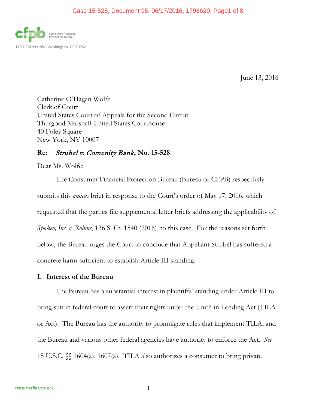

June 13, 2016

Catherine O'Hagan Wolfe Clerk of Court United States Court of Appeals for the Second Circuit Thurgood Marshall United States Courthouse 40 Foley Square New York, NY 10007

# **Re:** Strubel v. Comenity Bank**, No. 15-528**

Dear Ms. Wolfe:

The Consumer Financial Protection Bureau (Bureau or CFPB) respectfully submits this *amicus* brief in response to the Court's order of May 17, 2016, which requested that the parties file supplemental letter briefs addressing the applicability of *Spokeo, Inc. v. Robins*, 136 S. Ct. 1540 (2016), to this case. For the reasons set forth below, the Bureau urges the Court to conclude that Appellant Strubel has suffered a concrete harm sufficient to establish Article III standing.

### **I. Interest of the Bureau**

The Bureau has a substantial interest in plaintiffs' standing under Article III to bring suit in federal court to assert their rights under the Truth in Lending Act (TILA or Act). The Bureau has the authority to promulgate rules that implement TILA, and the Bureau and various other federal agencies have authority to enforce the Act. *See* 15 U.S.C. §§ 1604(a), 1607(a). TILA also authorizes a consumer to bring private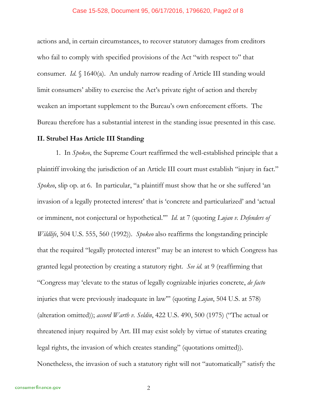#### Case 15-528, Document 95, 06/17/2016, 1796620, Page2 of 8

actions and, in certain circumstances, to recover statutory damages from creditors who fail to comply with specified provisions of the Act "with respect to" that consumer. *Id.* § 1640(a). An unduly narrow reading of Article III standing would limit consumers' ability to exercise the Act's private right of action and thereby weaken an important supplement to the Bureau's own enforcement efforts. The Bureau therefore has a substantial interest in the standing issue presented in this case.

### **II. Strubel Has Article III Standing**

1. In *Spokeo*, the Supreme Court reaffirmed the well-established principle that a plaintiff invoking the jurisdiction of an Article III court must establish "injury in fact." *Spokeo*, slip op. at 6. In particular, "a plaintiff must show that he or she suffered 'an invasion of a legally protected interest' that is 'concrete and particularized' and 'actual or imminent, not conjectural or hypothetical.'" *Id.* at 7 (quoting *Lujan v. Defenders of Wildlife*, 504 U.S. 555, 560 (1992)). *Spokeo* also reaffirms the longstanding principle that the required "legally protected interest" may be an interest to which Congress has granted legal protection by creating a statutory right. *See id.* at 9 (reaffirming that "Congress may 'elevate to the status of legally cognizable injuries concrete, *de facto* injuries that were previously inadequate in law'" (quoting *Lujan*, 504 U.S. at 578) (alteration omitted)); *accord Warth v. Seldin*, 422 U.S. 490, 500 (1975) ("The actual or threatened injury required by Art. III may exist solely by virtue of statutes creating legal rights, the invasion of which creates standing" (quotations omitted)). Nonetheless, the invasion of such a statutory right will not "automatically" satisfy the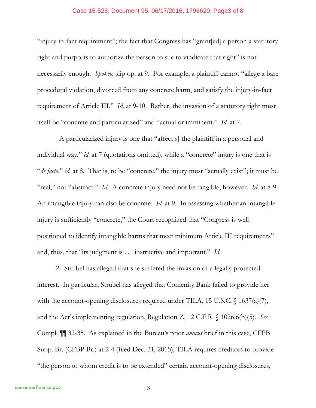#### Case 15-528, Document 95, 06/17/2016, 1796620, Page3 of 8

"injury-in-fact requirement"; the fact that Congress has "grant[ed] a person a statutory right and purports to authorize the person to sue to vindicate that right" is not necessarily enough. *Spokeo*, slip op. at 9. For example, a plaintiff cannot "allege a bare procedural violation, divorced from any concrete harm, and satisfy the injury-in-fact requirement of Article III." *Id.* at 9-10. Rather, the invasion of a statutory right must itself be "concrete and particularized" and "actual or imminent." *Id.* at 7.

 A particularized injury is one that "affect[s] the plaintiff in a personal and individual way," *id.* at 7 (quotations omitted), while a "concrete" injury is one that is "*de facto*," *id.* at 8. That is, to be "concrete," the injury must "actually exist"; it must be "real," not "abstract." *Id.* A concrete injury need not be tangible, however. *Id.* at 8-9. An intangible injury can also be concrete. *Id.* at 9. In assessing whether an intangible injury is sufficiently "concrete," the Court recognized that "Congress is well positioned to identify intangible harms that meet minimum Article III requirements" and, thus, that "its judgment is . . . instructive and important." *Id.*

2. Strubel has alleged that she suffered the invasion of a legally protected interest. In particular, Strubel has alleged that Comenity Bank failed to provide her with the account-opening disclosures required under TILA, 15 U.S.C. § 1637(a)(7), and the Act's implementing regulation, Regulation Z, 12 C.F.R. § 1026.6(b)(5). *See* Compl. ¶¶ 32-35. As explained in the Bureau's prior *amicus* brief in this case, CFPB Supp. Br. (CFBP Br.) at 2-4 (filed Dec. 31, 2015), TILA requires creditors to provide "the person to whom credit is to be extended" certain account-opening disclosures,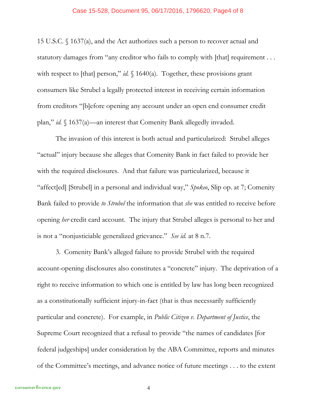#### Case 15-528, Document 95, 06/17/2016, 1796620, Page4 of 8

15 U.S.C. § 1637(a), and the Act authorizes such a person to recover actual and statutory damages from "any creditor who fails to comply with [that] requirement . . . with respect to [that] person," *id.* § 1640(a). Together, these provisions grant consumers like Strubel a legally protected interest in receiving certain information from creditors "[b]efore opening any account under an open end consumer credit plan," *id.* § 1637(a)—an interest that Comenity Bank allegedly invaded.

The invasion of this interest is both actual and particularized: Strubel alleges "actual" injury because she alleges that Comenity Bank in fact failed to provide her with the required disclosures. And that failure was particularized, because it "affect[ed] [Strubel] in a personal and individual way," *Spokeo*, Slip op. at 7; Comenity Bank failed to provide *to Strubel* the information that *she* was entitled to receive before opening *her* credit card account. The injury that Strubel alleges is personal to her and is not a "nonjusticiable generalized grievance." *See id.* at 8 n.7.

3. Comenity Bank's alleged failure to provide Strubel with the required account-opening disclosures also constitutes a "concrete" injury. The deprivation of a right to receive information to which one is entitled by law has long been recognized as a constitutionally sufficient injury-in-fact (that is thus necessarily sufficiently particular and concrete). For example, in *Public Citizen v. Department of Justice*, the Supreme Court recognized that a refusal to provide "the names of candidates [for federal judgeships] under consideration by the ABA Committee, reports and minutes of the Committee's meetings, and advance notice of future meetings . . . to the extent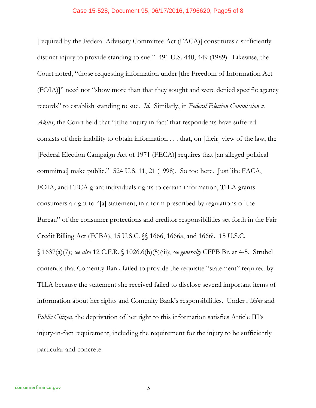#### Case 15-528, Document 95, 06/17/2016, 1796620, Page5 of 8

[required by the Federal Advisory Committee Act (FACA)] constitutes a sufficiently distinct injury to provide standing to sue." 491 U.S. 440, 449 (1989). Likewise, the Court noted, "those requesting information under [the Freedom of Information Act (FOIA)]" need not "show more than that they sought and were denied specific agency records" to establish standing to sue. *Id.* Similarly, in *Federal Election Commission v. Akins*, the Court held that "[t]he 'injury in fact' that respondents have suffered consists of their inability to obtain information . . . that, on [their] view of the law, the [Federal Election Campaign Act of 1971 (FECA)] requires that [an alleged political committee] make public." 524 U.S. 11, 21 (1998). So too here. Just like FACA, FOIA, and FECA grant individuals rights to certain information, TILA grants consumers a right to "[a] statement, in a form prescribed by regulations of the Bureau" of the consumer protections and creditor responsibilities set forth in the Fair Credit Billing Act (FCBA), 15 U.S.C. §§ 1666, 1666a, and 1666i. 15 U.S.C. § 1637(a)(7); *see also* 12 C.F.R. § 1026.6(b)(5)(iii); *see generally* CFPB Br. at 4-5. Strubel contends that Comenity Bank failed to provide the requisite "statement" required by TILA because the statement she received failed to disclose several important items of information about her rights and Comenity Bank's responsibilities. Under *Akins* and *Public Citizen*, the deprivation of her right to this information satisfies Article III's injury-in-fact requirement, including the requirement for the injury to be sufficiently particular and concrete.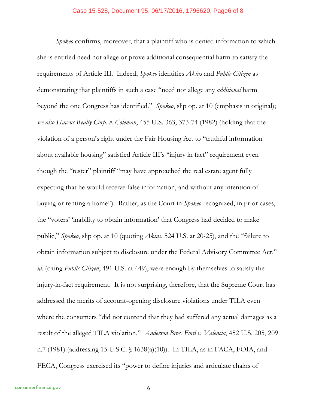*Spokeo* confirms, moreover, that a plaintiff who is denied information to which she is entitled need not allege or prove additional consequential harm to satisfy the requirements of Article III. Indeed, *Spokeo* identifies *Akins* and *Public Citizen* as demonstrating that plaintiffs in such a case "need not allege any *additional* harm beyond the one Congress has identified." *Spokeo*, slip op. at 10 (emphasis in original); *see also Havens Realty Corp. v. Coleman*, 455 U.S. 363, 373-74 (1982) (holding that the violation of a person's right under the Fair Housing Act to "truthful information about available housing" satisfied Article III's "injury in fact" requirement even though the "tester" plaintiff "may have approached the real estate agent fully expecting that he would receive false information, and without any intention of buying or renting a home"). Rather, as the Court in *Spokeo* recognized, in prior cases, the "voters' 'inability to obtain information' that Congress had decided to make public," *Spokeo*, slip op. at 10 (quoting *Akins*, 524 U.S. at 20-25), and the "failure to obtain information subject to disclosure under the Federal Advisory Committee Act," *id.* (citing *Public Citizen*, 491 U.S. at 449), were enough by themselves to satisfy the injury-in-fact requirement. It is not surprising, therefore, that the Supreme Court has addressed the merits of account-opening disclosure violations under TILA even where the consumers "did not contend that they had suffered any actual damages as a result of the alleged TILA violation." *Anderson Bros. Ford v. Valencia*, 452 U.S. 205, 209 n.7 (1981) (addressing 15 U.S.C. § 1638(a)(10)). In TILA, as in FACA, FOIA, and FECA, Congress exercised its "power to define injuries and articulate chains of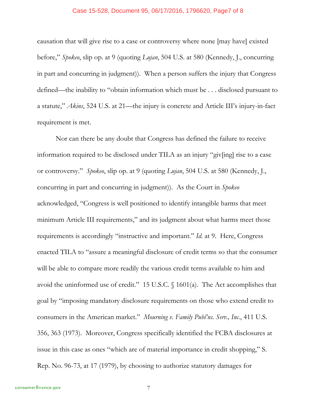#### Case 15-528, Document 95, 06/17/2016, 1796620, Page7 of 8

causation that will give rise to a case or controversy where none [may have] existed before," *Spokeo*, slip op. at 9 (quoting *Lujan*, 504 U.S. at 580 (Kennedy, J., concurring in part and concurring in judgment)). When a person suffers the injury that Congress defined—the inability to "obtain information which must be . . . disclosed pursuant to a statute," *Akins*, 524 U.S. at 21—the injury is concrete and Article III's injury-in-fact requirement is met.

Nor can there be any doubt that Congress has defined the failure to receive information required to be disclosed under TILA as an injury "giv[ing] rise to a case or controversy." *Spokeo*, slip op. at 9 (quoting *Lujan*, 504 U.S. at 580 (Kennedy, J., concurring in part and concurring in judgment)). As the Court in *Spokeo* acknowledged, "Congress is well positioned to identify intangible harms that meet minimum Article III requirements," and its judgment about what harms meet those requirements is accordingly "instructive and important." *Id.* at 9. Here, Congress enacted TILA to "assure a meaningful disclosure of credit terms so that the consumer will be able to compare more readily the various credit terms available to him and avoid the uninformed use of credit." 15 U.S.C. § 1601(a). The Act accomplishes that goal by "imposing mandatory disclosure requirements on those who extend credit to consumers in the American market." *Mourning v. Family Publ'ns. Serv., Inc.*, 411 U.S. 356, 363 (1973). Moreover, Congress specifically identified the FCBA disclosures at issue in this case as ones "which are of material importance in credit shopping," S. Rep. No. 96-73, at 17 (1979), by choosing to authorize statutory damages for